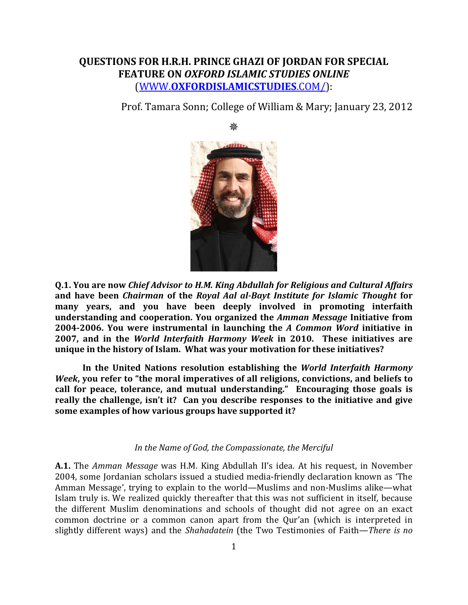## **QUESTIONS FOR H.R.H. PRINCE GHAZI OF JORDAN FOR SPECIAL FEATURE ON** *OXFORD ISLAMIC STUDIES ONLINE* (WWW.**[OXFORDISLAMICSTUDIES](http://www.oxfordislamicstudies.com/)**.COM/):

器

Prof. Tamara Sonn; College of William & Mary; January 23, 2012



**Q.1. You are now** *Chief Advisor to H.M. King Abdullah for Religious and Cultural Affairs* **and have been** *Chairman* **of the** *Royal Aal al-Bayt Institute for Islamic Thought* **for many years, and you have been deeply involved in promoting interfaith understanding and cooperation. You organized the** *Amman Message* **Initiative from 2004-2006. You were instrumental in launching the** *A Common Word* **initiative in 2007, and in the** *World Interfaith Harmony Week* **in 2010. These initiatives are unique in the history of Islam. What was your motivation for these initiatives?**

**In the United Nations resolution establishing the** *World Interfaith Harmony Week***, you refer to "the moral imperatives of all religions, convictions, and beliefs to call for peace, tolerance, and mutual understanding." Encouraging those goals is really the challenge, isn't it? Can you describe responses to the initiative and give some examples of how various groups have supported it?**

## *In the Name of God, the Compassionate, the Merciful*

**A.1.** The *Amman Message* was H.M. King Abdullah II's idea. At his request, in November 2004, some Jordanian scholars issued a studied media-friendly declaration known as 'The Amman Message', trying to explain to the world—Muslims and non-Muslims alike—what Islam truly is. We realized quickly thereafter that this was not sufficient in itself, because the different Muslim denominations and schools of thought did not agree on an exact common doctrine or a common canon apart from the Qur'an (which is interpreted in slightly different ways) and the *Shahadatein* (the Two Testimonies of Faith—*There is no*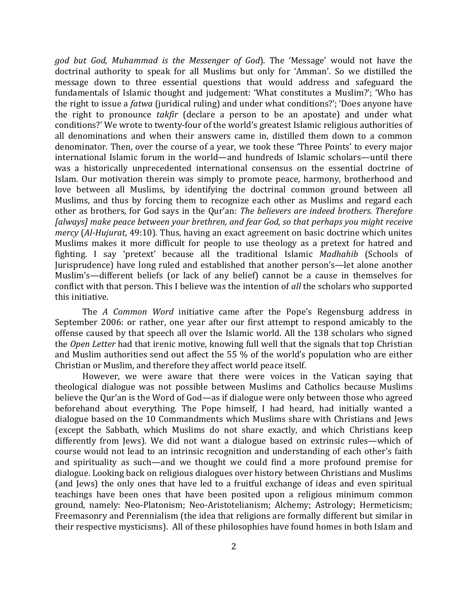*god but God, Muhammad is the Messenger of God*). The 'Message' would not have the doctrinal authority to speak for all Muslims but only for 'Amman'. So we distilled the message down to three essential questions that would address and safeguard the fundamentals of Islamic thought and judgement: 'What constitutes a Muslim?'; 'Who has the right to issue a *fatwa* (juridical ruling) and under what conditions?'; 'Does anyone have the right to pronounce *takfir* (declare a person to be an apostate) and under what conditions?' We wrote to twenty-four of the world's greatest Islamic religious authorities of all denominations and when their answers came in, distilled them down to a common denominator. Then, over the course of a year, we took these 'Three Points' to every major international Islamic forum in the world—and hundreds of Islamic scholars—until there was a historically unprecedented international consensus on the essential doctrine of Islam. Our motivation therein was simply to promote peace, harmony, brotherhood and love between all Muslims, by identifying the doctrinal common ground between all Muslims, and thus by forcing them to recognize each other as Muslims and regard each other as brothers, for God says in the Qur'an: *The believers are indeed brothers. Therefore [always] make peace between your brethren, and fear God, so that perhaps you might receive mercy* (*Al-Hujurat*, 49:10). Thus, having an exact agreement on basic doctrine which unites Muslims makes it more difficult for people to use theology as a pretext for hatred and fighting. I say 'pretext' because all the traditional Islamic *Madhahib* (Schools of Jurisprudence) have long ruled and established that another person's—let alone another Muslim's—different beliefs (or lack of any belief) cannot be a cause in themselves for conflict with that person. This I believe was the intention of *all* the scholars who supported this initiative.

The *A Common Word* initiative came after the Pope's Regensburg address in September 2006: or rather, one year after our first attempt to respond amicably to the offense caused by that speech all over the Islamic world. All the 138 scholars who signed the *Open Letter* had that irenic motive, knowing full well that the signals that top Christian and Muslim authorities send out affect the 55 % of the world's population who are either Christian or Muslim, and therefore they affect world peace itself.

However, we were aware that there were voices in the Vatican saying that theological dialogue was not possible between Muslims and Catholics because Muslims believe the Qur'an is the Word of God—as if dialogue were only between those who agreed beforehand about everything. The Pope himself, I had heard, had initially wanted a dialogue based on the 10 Commandments which Muslims share with Christians and Jews (except the Sabbath, which Muslims do not share exactly, and which Christians keep differently from Jews). We did not want a dialogue based on extrinsic rules—which of course would not lead to an intrinsic recognition and understanding of each other's faith and spirituality as such—and we thought we could find a more profound premise for dialogue. Looking back on religious dialogues over history between Christians and Muslims (and Jews) the only ones that have led to a fruitful exchange of ideas and even spiritual teachings have been ones that have been posited upon a religious minimum common ground, namely: Neo-Platonism; Neo-Aristotelianism; Alchemy; Astrology; Hermeticism; Freemasonry and Perennialism (the idea that religions are formally different but similar in their respective mysticisms). All of these philosophies have found homes in both Islam and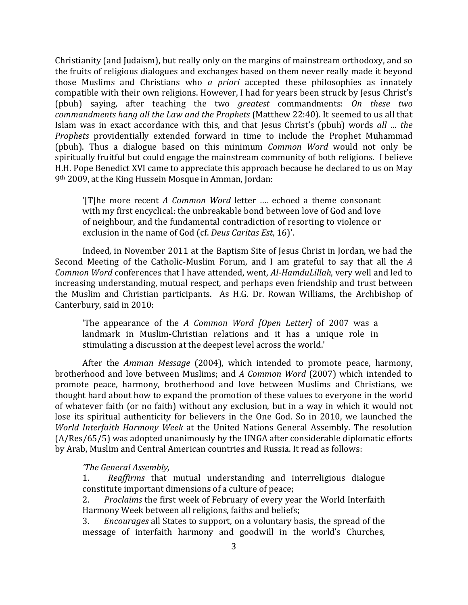Christianity (and Judaism), but really only on the margins of mainstream orthodoxy, and so the fruits of religious dialogues and exchanges based on them never really made it beyond those Muslims and Christians who *a priori* accepted these philosophies as innately compatible with their own religions. However, I had for years been struck by Jesus Christ's (pbuh) saying, after teaching the two *greatest* commandments: *On these two commandments hang all the Law and the Prophets* (Matthew 22:40). It seemed to us all that Islam was in exact accordance with this, and that Jesus Christ's (pbuh) words *all … the Prophets* providentially extended forward in time to include the Prophet Muhammad (pbuh). Thus a dialogue based on this minimum *Common Word* would not only be spiritually fruitful but could engage the mainstream community of both religions. I believe H.H. Pope Benedict XVI came to appreciate this approach because he declared to us on May 9th 2009, at the King Hussein Mosque in Amman, Jordan:

'[T]he more recent *A Common Word* letter …. echoed a theme consonant with my first encyclical: the unbreakable bond between love of God and love of neighbour, and the fundamental contradiction of resorting to violence or exclusion in the name of God (cf. *[Deus Caritas Est](http://www.vatican.va/holy_father/benedict_xvi/encyclicals/documents/hf_ben-xvi_enc_20051225_deus-caritas-est_en.html)*, 16)'.

Indeed, in November 2011 at the Baptism Site of Jesus Christ in Jordan, we had the Second Meeting of the Catholic-Muslim Forum, and I am grateful to say that all the *A Common Word* conferences that I have attended, went, *Al-HamduLillah*, very well and led to increasing understanding, mutual respect, and perhaps even friendship and trust between the Muslim and Christian participants. As H.G. Dr. Rowan Williams, the Archbishop of Canterbury, said in 2010:

'The appearance of the *A Common Word [Open Letter]* of 2007 was a landmark in Muslim-Christian relations and it has a unique role in stimulating a discussion at the deepest level across the world.'

After the *Amman Message* (2004), which intended to promote peace, harmony, brotherhood and love between Muslims; and *A Common Word* (2007) which intended to promote peace, harmony, brotherhood and love between Muslims and Christians, we thought hard about how to expand the promotion of these values to everyone in the world of whatever faith (or no faith) without any exclusion, but in a way in which it would not lose its spiritual authenticity for believers in the One God. So in 2010, we launched the *World Interfaith Harmony Week* at the United Nations General Assembly. The resolution (A/Res/65/5) was adopted unanimously by the UNGA after considerable diplomatic efforts by Arab, Muslim and Central American countries and Russia. It read as follows:

*'The General Assembly,*

1.*Reaffirms* that mutual understanding and interreligious dialogue constitute important dimensions of a culture of peace;<br>2. Proclaims the first week of February of every year

2. *Proclaims* the first week of February of every year the World Interfaith Harmony Week between all religions, faiths and beliefs;<br>3. Encourages all States to support, on a voluntary ba

3. *Encourages* all States to support, on a voluntary basis, the spread of the message of interfaith harmony and goodwill in the world's Churches,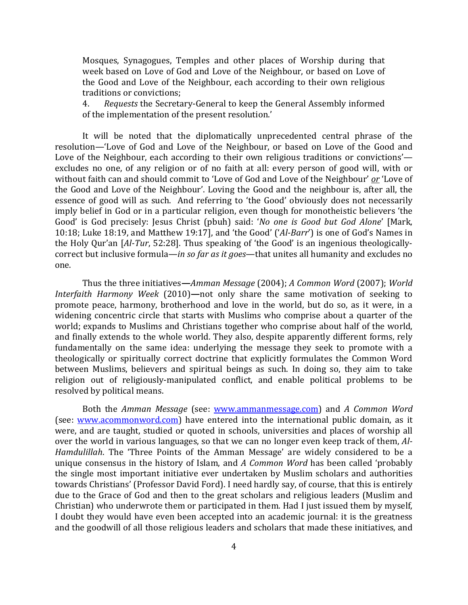Mosques, Synagogues, Temples and other places of Worship during that week based on Love of God and Love of the Neighbour, or based on Love of the Good and Love of the Neighbour, each according to their own religious traditions or convictions;<br>4. Requests the Secreta

4. *Requests* the Secretary-General to keep the General Assembly informed of the implementation of the present resolution.'

It will be noted that the diplomatically unprecedented central phrase of the resolution—'Love of God and Love of the Neighbour, or based on Love of the Good and Love of the Neighbour, each according to their own religious traditions or convictions' excludes no one, of any religion or of no faith at all: every person of good will, with or without faith can and should commit to 'Love of God and Love of the Neighbour' *or* 'Love of the Good and Love of the Neighbour'. Loving the Good and the neighbour is, after all, the essence of good will as such. And referring to 'the Good' obviously does not necessarily imply belief in God or in a particular religion, even though for monotheistic believers 'the Good' is God precisely: Jesus Christ (pbuh) said: '*No one is Good but God Alone*' [Mark, 10:18; Luke 18:19, and Matthew 19:17], and 'the Good' ('*Al-Barr*') is one of God's Names in the Holy Qur'an [*Al-Tur*, 52:28]. Thus speaking of 'the Good' is an ingenious theologicallycorrect but inclusive formula*—in so far as it goes*—that unites all humanity and excludes no one.

Thus the three initiatives**—***Amman Message* (2004); *A Common Word* (2007); *World Interfaith Harmony Week* (2010)**—**not only share the same motivation of seeking to promote peace, harmony, brotherhood and love in the world, but do so, as it were, in a widening concentric circle that starts with Muslims who comprise about a quarter of the world; expands to Muslims and Christians together who comprise about half of the world, and finally extends to the whole world. They also, despite apparently different forms, rely fundamentally on the same idea: underlying the message they seek to promote with a theologically or spiritually correct doctrine that explicitly formulates the Common Word between Muslims, believers and spiritual beings as such. In doing so, they aim to take religion out of religiously-manipulated conflict, and enable political problems to be resolved by political means.

Both the *Amman Message* (see: [www.ammanmessage.com\)](http://www.ammanmessage.com/) and *A Common Word* (see: [www.acommonword.com\)](http://www.acommonword.com/) have entered into the international public domain, as it were, and are taught, studied or quoted in schools, universities and places of worship all over the world in various languages, so that we can no longer even keep track of them, *Al-Hamdulillah*. The 'Three Points of the Amman Message' are widely considered to be a unique consensus in the history of Islam, and *A Common Word* has been called 'probably the single most important initiative ever undertaken by Muslim scholars and authorities towards Christians' (Professor David Ford). I need hardly say, of course, that this is entirely due to the Grace of God and then to the great scholars and religious leaders (Muslim and Christian) who underwrote them or participated in them. Had I just issued them by myself, I doubt they would have even been accepted into an academic journal: it is the greatness and the goodwill of all those religious leaders and scholars that made these initiatives, and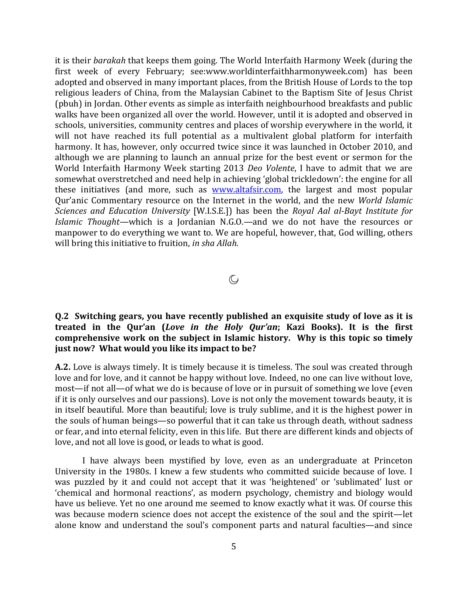it is their *barakah* that keeps them going. The World Interfaith Harmony Week (during the first week of every February; see:www.worldinterfaithharmonyweek.com) has been adopted and observed in many important places, from the British House of Lords to the top religious leaders of China, from the Malaysian Cabinet to the Baptism Site of Jesus Christ (pbuh) in Jordan. Other events as simple as interfaith neighbourhood breakfasts and public walks have been organized all over the world. However, until it is adopted and observed in schools, universities, community centres and places of worship everywhere in the world, it will not have reached its full potential as a multivalent global platform for interfaith harmony. It has, however, only occurred twice since it was launched in October 2010, and although we are planning to launch an annual prize for the best event or sermon for the World Interfaith Harmony Week starting 2013 *Deo Volente*, I have to admit that we are somewhat overstretched and need help in achieving 'global trickledown': the engine for all these initiatives (and more, such as [www.altafsir.com,](http://www.altafsir.com/) the largest and most popular Qur'anic Commentary resource on the Internet in the world, and the new *World Islamic Sciences and Education University* [W.I.S.E.]) has been the *Royal Aal al-Bayt Institute for Islamic Thought—*which is a Jordanian N.G.O.*—*and we do not have the resources or manpower to do everything we want to. We are hopeful, however, that, God willing, others will bring this initiative to fruition, *in sha Allah*.

 $\mathbb{Q}$ 

## **Q.2 Switching gears, you have recently published an exquisite study of love as it is treated in the Qur'an (***Love in the Holy Qur'an***; Kazi Books). It is the first comprehensive work on the subject in Islamic history. Why is this topic so timely just now? What would you like its impact to be?**

**A.2.** Love is always timely. It is timely because it is timeless. The soul was created through love and for love, and it cannot be happy without love. Indeed, no one can live without love, most—if not all—of what we do is because of love or in pursuit of something we love (even if it is only ourselves and our passions). Love is not only the movement towards beauty, it is in itself beautiful. More than beautiful; love is truly sublime, and it is the highest power in the souls of human beings—so powerful that it can take us through death, without sadness or fear, and into eternal felicity, even in this life. But there are different kinds and objects of love, and not all love is good, or leads to what is good.

I have always been mystified by love, even as an undergraduate at Princeton University in the 1980s. I knew a few students who committed suicide because of love. I was puzzled by it and could not accept that it was 'heightened' or 'sublimated' lust or 'chemical and hormonal reactions', as modern psychology, chemistry and biology would have us believe. Yet no one around me seemed to know exactly what it was. Of course this was because modern science does not accept the existence of the soul and the spirit—let alone know and understand the soul's component parts and natural faculties—and since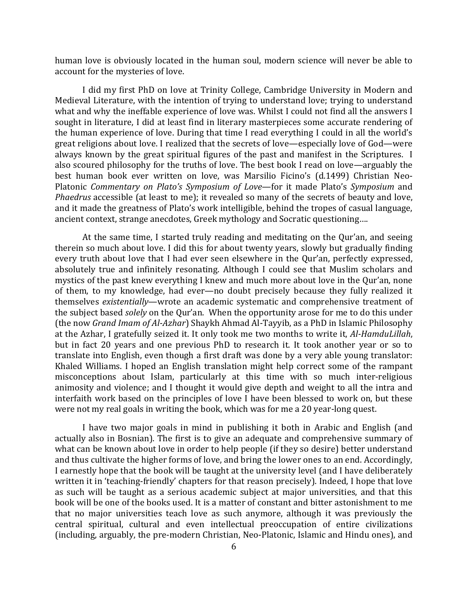human love is obviously located in the human soul, modern science will never be able to account for the mysteries of love.

I did my first PhD on love at Trinity College, Cambridge University in Modern and Medieval Literature, with the intention of trying to understand love; trying to understand what and why the ineffable experience of love was. Whilst I could not find all the answers I sought in literature, I did at least find in literary masterpieces some accurate rendering of the human experience of love. During that time I read everything I could in all the world's great religions about love. I realized that the secrets of love—especially love of God—were always known by the great spiritual figures of the past and manifest in the Scriptures. I also scoured philosophy for the truths of love. The best book I read on love—arguably the best human book ever written on love, was Marsilio Ficino's (d.1499) Christian Neo-Platonic *Commentary on Plato's Symposium of Love*—for it made Plato's *Symposium* and *Phaedrus* accessible (at least to me); it revealed so many of the secrets of beauty and love, and it made the greatness of Plato's work intelligible, behind the tropes of casual language, ancient context, strange anecdotes, Greek mythology and Socratic questioning….

At the same time, I started truly reading and meditating on the Qur'an, and seeing therein so much about love. I did this for about twenty years, slowly but gradually finding every truth about love that I had ever seen elsewhere in the Qur'an, perfectly expressed, absolutely true and infinitely resonating. Although I could see that Muslim scholars and mystics of the past knew everything I knew and much more about love in the Qur'an, none of them, to my knowledge, had ever—no doubt precisely because they fully realized it themselves *existentially*—wrote an academic systematic and comprehensive treatment of the subject based *solely* on the Qur'an. When the opportunity arose for me to do this under (the now *Grand Imam of Al-Azhar*) Shaykh Ahmad Al-Tayyib, as a PhD in Islamic Philosophy at the Azhar, I gratefully seized it. It only took me two months to write it, *Al-HamduLillah*, but in fact 20 years and one previous PhD to research it. It took another year or so to translate into English, even though a first draft was done by a very able young translator: Khaled Williams. I hoped an English translation might help correct some of the rampant misconceptions about Islam, particularly at this time with so much inter-religious animosity and violence; and I thought it would give depth and weight to all the intra and interfaith work based on the principles of love I have been blessed to work on, but these were not my real goals in writing the book, which was for me a 20 year-long quest.

I have two major goals in mind in publishing it both in Arabic and English (and actually also in Bosnian). The first is to give an adequate and comprehensive summary of what can be known about love in order to help people (if they so desire) better understand and thus cultivate the higher forms of love, and bring the lower ones to an end. Accordingly, I earnestly hope that the book will be taught at the university level (and I have deliberately written it in 'teaching-friendly' chapters for that reason precisely). Indeed, I hope that love as such will be taught as a serious academic subject at major universities, and that this book will be one of the books used. It is a matter of constant and bitter astonishment to me that no major universities teach love as such anymore, although it was previously the central spiritual, cultural and even intellectual preoccupation of entire civilizations (including, arguably, the pre-modern Christian, Neo-Platonic, Islamic and Hindu ones), and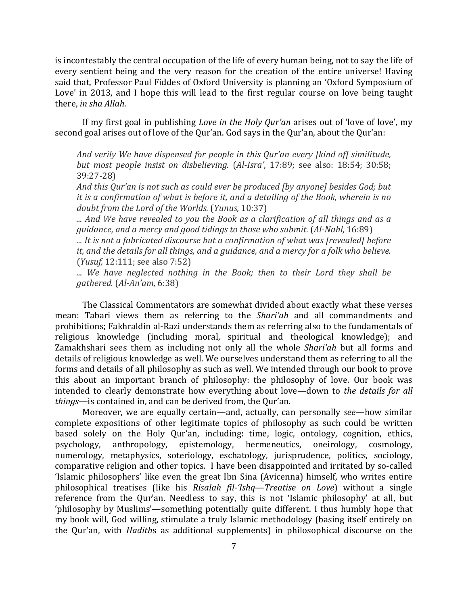is incontestably the central occupation of the life of every human being, not to say the life of every sentient being and the very reason for the creation of the entire universe! Having said that, Professor Paul Fiddes of Oxford University is planning an 'Oxford Symposium of Love' in 2013, and I hope this will lead to the first regular course on love being taught there, *in sha Allah*.

If my first goal in publishing *Love in the Holy Qur'an* arises out of 'love of love', my second goal arises out of love of the Qur'an. God says in the Qur'an, about the Qur'an:

*And verily We have dispensed for people in this Qur'an every [kind of] similitude, but most people insist on disbelieving.* (*Al-Isra'*, 17:89; see also: 18:54; 30:58; 39:27-28)

*And this Qur'an is not such as could ever be produced [by anyone] besides God; but it is a confirmation of what is before it, and a detailing of the Book, wherein is no doubt from the Lord of the Worlds.* (*Yunus,* 10:37)

*... And We have revealed to you the Book as a clarification of all things and as a guidance, and a mercy and good tidings to those who submit.* (*Al-Nahl,* 16:89)

*... It is not a fabricated discourse but a confirmation of what was [revealed] before it, and the details for all things, and a guidance, and a mercy for a folk who believe.* (*Yusuf,* 12:111; see also 7:52)

*... We have neglected nothing in the Book; then to their Lord they shall be gathered.* (*Al-An'am,* 6:38)

The Classical Commentators are somewhat divided about exactly what these verses mean: Tabari views them as referring to the *Shari'ah* and all commandments and prohibitions; Fakhraldin al-Razi understands them as referring also to the fundamentals of religious knowledge (including moral, spiritual and theological knowledge); and Zamakhshari sees them as including not only all the whole *Shari'ah* but all forms and details of religious knowledge as well. We ourselves understand them as referring to all the forms and details of all philosophy as such as well. We intended through our book to prove this about an important branch of philosophy: the philosophy of love. Our book was intended to clearly demonstrate how everything about love—down to *the details for all things*—is contained in, and can be derived from, the Qur'an.

Moreover, we are equally certain—and, actually, can personally *see*—how similar complete expositions of other legitimate topics of philosophy as such could be written based solely on the Holy Qur'an, including: time, logic, ontology, cognition, ethics, epistemology, hermeneutics, numerology, metaphysics, soteriology, eschatology, jurisprudence, politics, sociology, comparative religion and other topics. I have been disappointed and irritated by so-called 'Islamic philosophers' like even the great Ibn Sina (Avicenna) himself, who writes entire philosophical treatises (like his *Risalah fil-'Ishq*—*Treatise on Love*) without a single reference from the Qur'an. Needless to say, this is not 'Islamic philosophy' at all, but 'philosophy by Muslims'—something potentially quite different. I thus humbly hope that my book will, God willing, stimulate a truly Islamic methodology (basing itself entirely on the Qur'an, with *Hadith*s as additional supplements) in philosophical discourse on the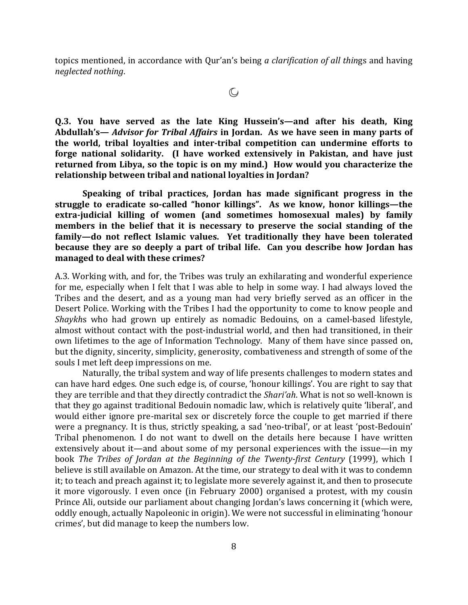topics mentioned, in accordance with Qur'an's being *a clarification of all thin*gs and having *neglected nothing*.

**Q.3. You have served as the late King Hussein's—and after his death, King Abdullah's—** *Advisor for Tribal Affairs* **in Jordan. As we have seen in many parts of the world, tribal loyalties and inter-tribal competition can undermine efforts to forge national solidarity. (I have worked extensively in Pakistan, and have just returned from Libya, so the topic is on my mind.) How would you characterize the relationship between tribal and national loyalties in Jordan?** 

**Speaking of tribal practices, Jordan has made significant progress in the struggle to eradicate so-called "honor killings". As we know, honor killings—the extra-judicial killing of women (and sometimes homosexual males) by family members in the belief that it is necessary to preserve the social standing of the family—do not reflect Islamic values. Yet traditionally they have been tolerated because they are so deeply a part of tribal life. Can you describe how Jordan has managed to deal with these crimes?** 

A.3. Working with, and for, the Tribes was truly an exhilarating and wonderful experience for me, especially when I felt that I was able to help in some way. I had always loved the Tribes and the desert, and as a young man had very briefly served as an officer in the Desert Police. Working with the Tribes I had the opportunity to come to know people and *Shaykh*s who had grown up entirely as nomadic Bedouins, on a camel-based lifestyle, almost without contact with the post-industrial world, and then had transitioned, in their own lifetimes to the age of Information Technology. Many of them have since passed on, but the dignity, sincerity, simplicity, generosity, combativeness and strength of some of the souls I met left deep impressions on me.

Naturally, the tribal system and way of life presents challenges to modern states and can have hard edges. One such edge is, of course, 'honour killings'. You are right to say that they are terrible and that they directly contradict the *Shari'ah*. What is not so well-known is that they go against traditional Bedouin nomadic law, which is relatively quite 'liberal', and would either ignore pre-marital sex or discretely force the couple to get married if there were a pregnancy. It is thus, strictly speaking, a sad 'neo-tribal', or at least 'post-Bedouin' Tribal phenomenon. I do not want to dwell on the details here because I have written extensively about it—and about some of my personal experiences with the issue—in my book *The Tribes of Jordan at the Beginning of the Twenty-first Century* (1999), which I believe is still available on Amazon. At the time, our strategy to deal with it was to condemn it; to teach and preach against it; to legislate more severely against it, and then to prosecute it more vigorously. I even once (in February 2000) organised a protest, with my cousin Prince Ali, outside our parliament about changing Jordan's laws concerning it (which were, oddly enough, actually Napoleonic in origin). We were not successful in eliminating 'honour crimes', but did manage to keep the numbers low.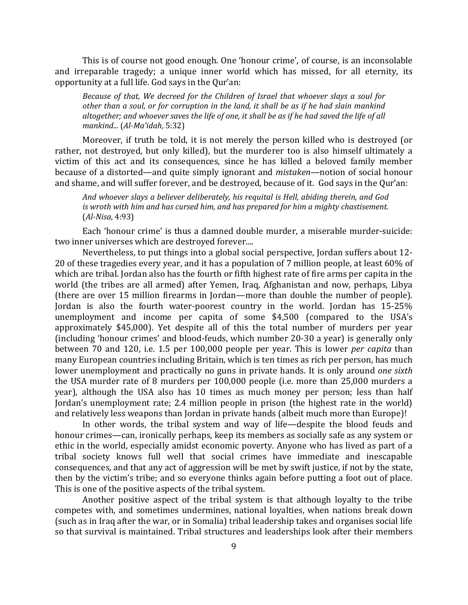This is of course not good enough. One 'honour crime', of course, is an inconsolable and irreparable tragedy; a unique inner world which has missed, for all eternity, its opportunity at a full life. God says in the Qur'an:

*Because of that, We decreed for the Children of Israel that whoever slays a soul for other than a soul, or for corruption in the land, it shall be as if he had slain mankind altogether; and whoever saves the life of one, it shall be as if he had saved the life of all mankind...* (*Al-Ma'idah*, 5:32)

Moreover, if truth be told, it is not merely the person killed who is destroyed (or rather, not destroyed, but only killed), but the murderer too is also himself ultimately a victim of this act and its consequences, since he has killed a beloved family member because of a distorted—and quite simply ignorant and *mistaken*—notion of social honour and shame, and will suffer forever, and be destroyed, because of it. God says in the Qur'an:

*And whoever slays a believer deliberately, his requital is Hell, abiding therein, and God is wroth with him and has cursed him, and has prepared for him a mighty chastisement.* (*Al-Nisa*, 4:93)

Each 'honour crime' is thus a damned double murder, a miserable murder-suicide: two inner universes which are destroyed forever....

Nevertheless, to put things into a global social perspective, Jordan suffers about 12- 20 of these tragedies every year, and it has a population of 7 million people, at least 60% of which are tribal. Jordan also has the fourth or fifth highest rate of fire arms per capita in the world (the tribes are all armed) after Yemen, Iraq, Afghanistan and now, perhaps, Libya (there are over 15 million firearms in Jordan—more than double the number of people). Jordan is also the fourth water-poorest country in the world. Jordan has 15-25% unemployment and income per capita of some \$4,500 (compared to the USA's approximately \$45,000). Yet despite all of this the total number of murders per year (including 'honour crimes' and blood-feuds, which number 20-30 a year) is generally only between 70 and 120, i.e. 1.5 per 100,000 people per year. This is lower *per capita* than many European countries including Britain, which is ten times as rich per person, has much lower unemployment and practically no guns in private hands. It is only around *one sixth* the USA murder rate of 8 murders per 100,000 people (i.e. more than 25,000 murders a year), although the USA also has 10 times as much money per person; less than half Jordan's unemployment rate; 2.4 million people in prison (the highest rate in the world) and relatively less weapons than Jordan in private hands (albeit much more than Europe)!

In other words, the tribal system and way of life—despite the blood feuds and honour crimes—can, ironically perhaps, keep its members as socially safe as any system or ethic in the world, especially amidst economic poverty. Anyone who has lived as part of a tribal society knows full well that social crimes have immediate and inescapable consequences, and that any act of aggression will be met by swift justice, if not by the state, then by the victim's tribe; and so everyone thinks again before putting a foot out of place. This is one of the positive aspects of the tribal system.

Another positive aspect of the tribal system is that although loyalty to the tribe competes with, and sometimes undermines, national loyalties, when nations break down (such as in Iraq after the war, or in Somalia) tribal leadership takes and organises social life so that survival is maintained. Tribal structures and leaderships look after their members